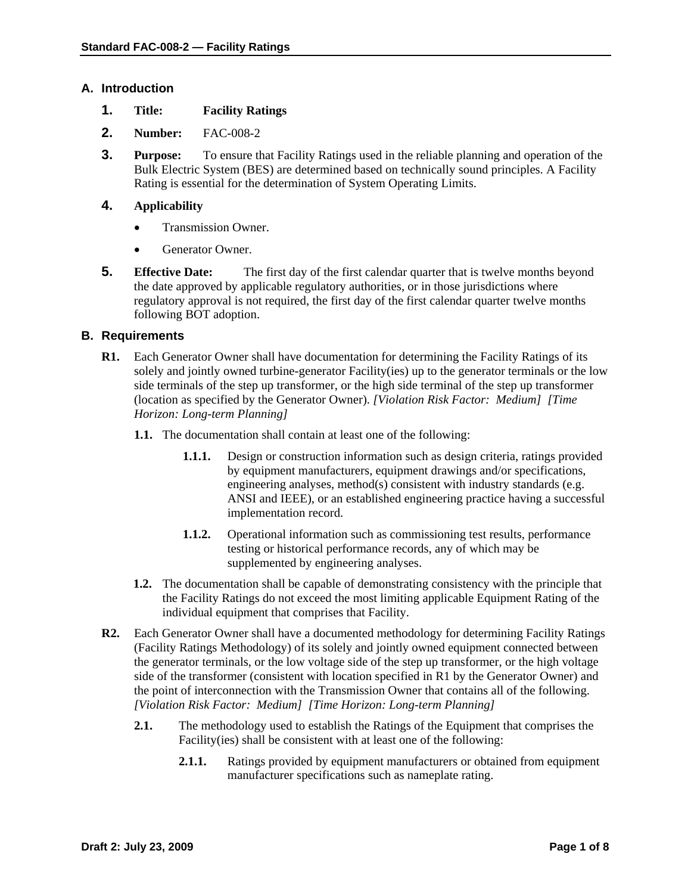# **A. Introduction**

- **1. Title: Facility Ratings**
- **2. Number:** FAC-008-2
- **3. Purpose:** To ensure that Facility Ratings used in the reliable planning and operation of the Bulk Electric System (BES) are determined based on technically sound principles. A Facility Rating is essential for the determination of System Operating Limits.

# **4. Applicability**

- Transmission Owner.
- Generator Owner.
- **5. Effective Date:** The first day of the first calendar quarter that is twelve months beyond the date approved by applicable regulatory authorities, or in those jurisdictions where regulatory approval is not required, the first day of the first calendar quarter twelve months following BOT adoption.

## **B. Requirements**

- **R1.** Each Generator Owner shall have documentation for determining the Facility Ratings of its solely and jointly owned turbine-generator Facility(ies) up to the generator terminals or the low side terminals of the step up transformer, or the high side terminal of the step up transformer (location as specified by the Generator Owner). *[Violation Risk Factor: Medium] [Time Horizon: Long-term Planning]* 
	- **1.1.** The documentation shall contain at least one of the following:
		- **1.1.1.** Design or construction information such as design criteria, ratings provided by equipment manufacturers, equipment drawings and/or specifications, engineering analyses, method(s) consistent with industry standards (e.g. ANSI and IEEE), or an established engineering practice having a successful implementation record.
		- **1.1.2.** Operational information such as commissioning test results, performance testing or historical performance records, any of which may be supplemented by engineering analyses.
	- **1.2.** The documentation shall be capable of demonstrating consistency with the principle that the Facility Ratings do not exceed the most limiting applicable Equipment Rating of the individual equipment that comprises that Facility.
- **R2.** Each Generator Owner shall have a documented methodology for determining Facility Ratings (Facility Ratings Methodology) of its solely and jointly owned equipment connected between the generator terminals, or the low voltage side of the step up transformer, or the high voltage side of the transformer (consistent with location specified in R1 by the Generator Owner) and the point of interconnection with the Transmission Owner that contains all of the following. *[Violation Risk Factor: Medium] [Time Horizon: Long-term Planning]* 
	- **2.1.** The methodology used to establish the Ratings of the Equipment that comprises the Facility(ies) shall be consistent with at least one of the following:
		- **2.1.1.** Ratings provided by equipment manufacturers or obtained from equipment manufacturer specifications such as nameplate rating.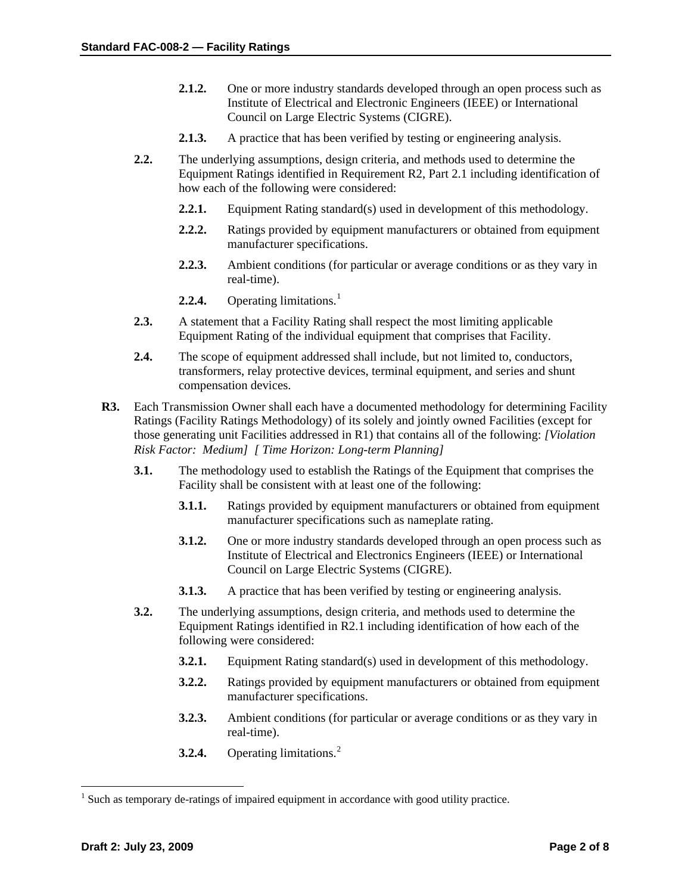- **2.1.2.** One or more industry standards developed through an open process such as Institute of Electrical and Electronic Engineers (IEEE) or International Council on Large Electric Systems (CIGRE).
- **2.1.3.** A practice that has been verified by testing or engineering analysis.
- **2.2.** The underlying assumptions, design criteria, and methods used to determine the Equipment Ratings identified in Requirement R2, Part 2.1 including identification of how each of the following were considered:
	- **2.2.1.** Equipment Rating standard(s) used in development of this methodology.
	- **2.2.2.** Ratings provided by equipment manufacturers or obtained from equipment manufacturer specifications.
	- **2.2.3.** Ambient conditions (for particular or average conditions or as they vary in real-time).
	- **2.2.4.** Operating limitations.<sup>[1](#page-1-0)</sup>
- **2.3.** A statement that a Facility Rating shall respect the most limiting applicable Equipment Rating of the individual equipment that comprises that Facility.
- **2.4.** The scope of equipment addressed shall include, but not limited to, conductors, transformers, relay protective devices, terminal equipment, and series and shunt compensation devices.
- **R3.** Each Transmission Owner shall each have a documented methodology for determining Facility Ratings (Facility Ratings Methodology) of its solely and jointly owned Facilities (except for those generating unit Facilities addressed in R1) that contains all of the following: *[Violation Risk Factor: Medium] [ Time Horizon: Long-term Planning]* 
	- **3.1.** The methodology used to establish the Ratings of the Equipment that comprises the Facility shall be consistent with at least one of the following:
		- **3.1.1.** Ratings provided by equipment manufacturers or obtained from equipment manufacturer specifications such as nameplate rating.
		- **3.1.2.** One or more industry standards developed through an open process such as Institute of Electrical and Electronics Engineers (IEEE) or International Council on Large Electric Systems (CIGRE).
		- **3.1.3.** A practice that has been verified by testing or engineering analysis.
	- **3.2.** The underlying assumptions, design criteria, and methods used to determine the Equipment Ratings identified in R2.1 including identification of how each of the following were considered:
		- **3.2.1.** Equipment Rating standard(s) used in development of this methodology.
		- **3.2.2.** Ratings provided by equipment manufacturers or obtained from equipment manufacturer specifications.
		- **3.2.3.** Ambient conditions (for particular or average conditions or as they vary in real-time).
		- **3.[2](#page-1-0).4.** Operating limitations.<sup>2</sup>

 $\overline{a}$ 

<span id="page-1-0"></span> $<sup>1</sup>$  Such as temporary de-ratings of impaired equipment in accordance with good utility practice.</sup>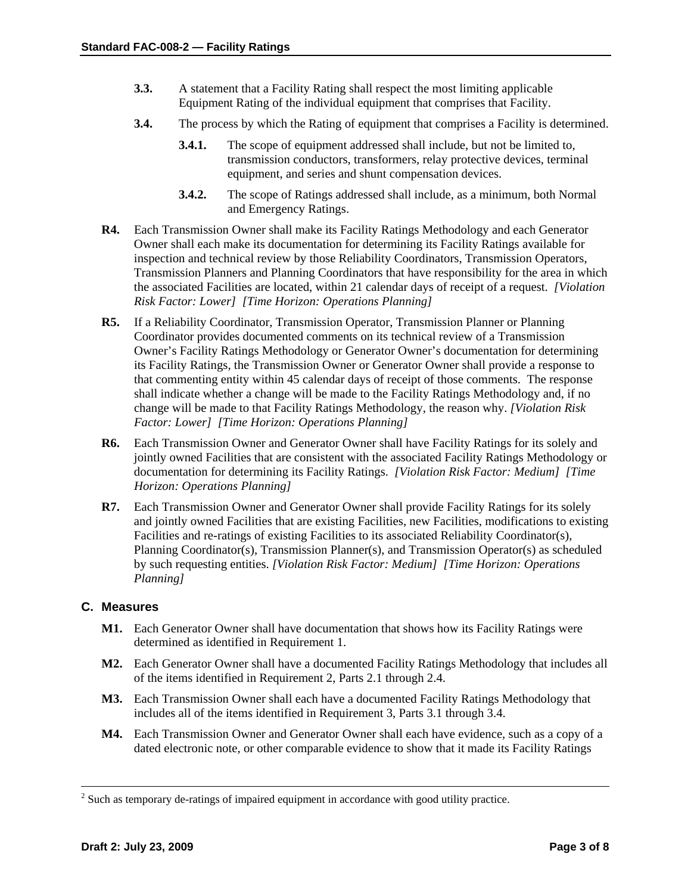- **3.3.** A statement that a Facility Rating shall respect the most limiting applicable Equipment Rating of the individual equipment that comprises that Facility.
- **3.4.** The process by which the Rating of equipment that comprises a Facility is determined.
	- **3.4.1.** The scope of equipment addressed shall include, but not be limited to, transmission conductors, transformers, relay protective devices, terminal equipment, and series and shunt compensation devices.
	- **3.4.2.** The scope of Ratings addressed shall include, as a minimum, both Normal and Emergency Ratings.
- **R4.** Each Transmission Owner shall make its Facility Ratings Methodology and each Generator Owner shall each make its documentation for determining its Facility Ratings available for inspection and technical review by those Reliability Coordinators, Transmission Operators, Transmission Planners and Planning Coordinators that have responsibility for the area in which the associated Facilities are located, within 21 calendar days of receipt of a request. *[Violation Risk Factor: Lower] [Time Horizon: Operations Planning]*
- **R5.** If a Reliability Coordinator, Transmission Operator, Transmission Planner or Planning Coordinator provides documented comments on its technical review of a Transmission Owner's Facility Ratings Methodology or Generator Owner's documentation for determining its Facility Ratings, the Transmission Owner or Generator Owner shall provide a response to that commenting entity within 45 calendar days of receipt of those comments. The response shall indicate whether a change will be made to the Facility Ratings Methodology and, if no change will be made to that Facility Ratings Methodology, the reason why. *[Violation Risk Factor: Lower] [Time Horizon: Operations Planning]*
- **R6.** Each Transmission Owner and Generator Owner shall have Facility Ratings for its solely and jointly owned Facilities that are consistent with the associated Facility Ratings Methodology or documentation for determining its Facility Ratings. *[Violation Risk Factor: Medium] [Time Horizon: Operations Planning]*
- **R7.** Each Transmission Owner and Generator Owner shall provide Facility Ratings for its solely and jointly owned Facilities that are existing Facilities, new Facilities, modifications to existing Facilities and re-ratings of existing Facilities to its associated Reliability Coordinator(s), Planning Coordinator(s), Transmission Planner(s), and Transmission Operator(s) as scheduled by such requesting entities. *[Violation Risk Factor: Medium] [Time Horizon: Operations Planning]*

## **C. Measures**

- **M1.** Each Generator Owner shall have documentation that shows how its Facility Ratings were determined as identified in Requirement 1.
- **M2.** Each Generator Owner shall have a documented Facility Ratings Methodology that includes all of the items identified in Requirement 2, Parts 2.1 through 2.4.
- **M3.** Each Transmission Owner shall each have a documented Facility Ratings Methodology that includes all of the items identified in Requirement 3, Parts 3.1 through 3.4.
- **M4.** Each Transmission Owner and Generator Owner shall each have evidence, such as a copy of a dated electronic note, or other comparable evidence to show that it made its Facility Ratings

 $\frac{1}{2}$ <sup>2</sup> Such as temporary de-ratings of impaired equipment in accordance with good utility practice.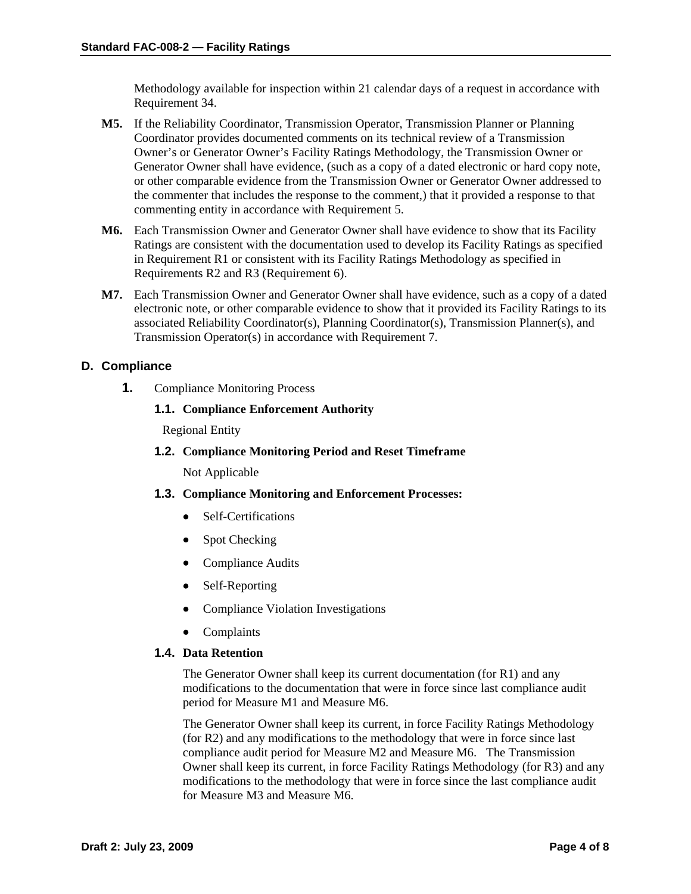Methodology available for inspection within 21 calendar days of a request in accordance with Requirement 34.

- **M5.** If the Reliability Coordinator, Transmission Operator, Transmission Planner or Planning Coordinator provides documented comments on its technical review of a Transmission Owner's or Generator Owner's Facility Ratings Methodology, the Transmission Owner or Generator Owner shall have evidence, (such as a copy of a dated electronic or hard copy note, or other comparable evidence from the Transmission Owner or Generator Owner addressed to the commenter that includes the response to the comment,) that it provided a response to that commenting entity in accordance with Requirement 5.
- **M6.** Each Transmission Owner and Generator Owner shall have evidence to show that its Facility Ratings are consistent with the documentation used to develop its Facility Ratings as specified in Requirement R1 or consistent with its Facility Ratings Methodology as specified in Requirements R2 and R3 (Requirement 6).
- **M7.** Each Transmission Owner and Generator Owner shall have evidence, such as a copy of a dated electronic note, or other comparable evidence to show that it provided its Facility Ratings to its associated Reliability Coordinator(s), Planning Coordinator(s), Transmission Planner(s), and Transmission Operator(s) in accordance with Requirement 7.

## **D. Compliance**

**1.** Compliance Monitoring Process

## **1.1. Compliance Enforcement Authority**

Regional Entity

**1.2. Compliance Monitoring Period and Reset Timeframe**

Not Applicable

- **1.3. Compliance Monitoring and Enforcement Processes:** 
	- Self-Certifications
	- Spot Checking
	- Compliance Audits
	- Self-Reporting
	- Compliance Violation Investigations
	- Complaints

#### **1.4. Data Retention**

The Generator Owner shall keep its current documentation (for R1) and any modifications to the documentation that were in force since last compliance audit period for Measure M1 and Measure M6.

The Generator Owner shall keep its current, in force Facility Ratings Methodology (for R2) and any modifications to the methodology that were in force since last compliance audit period for Measure M2 and Measure M6. The Transmission Owner shall keep its current, in force Facility Ratings Methodology (for R3) and any modifications to the methodology that were in force since the last compliance audit for Measure M3 and Measure M6.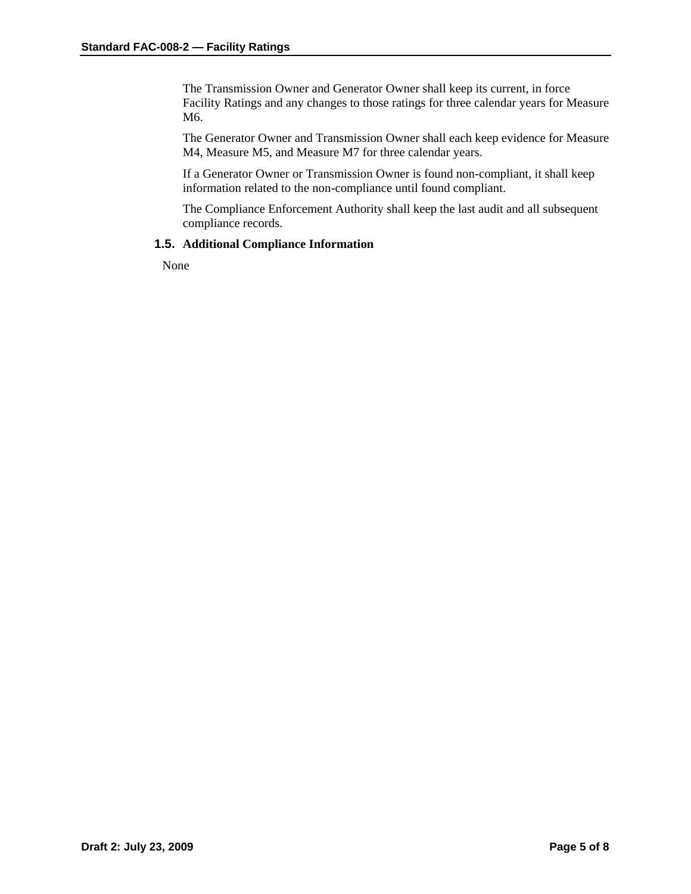The Transmission Owner and Generator Owner shall keep its current, in force Facility Ratings and any changes to those ratings for three calendar years for Measure M6.

The Generator Owner and Transmission Owner shall each keep evidence for Measure M4, Measure M5, and Measure M7 for three calendar years.

If a Generator Owner or Transmission Owner is found non-compliant, it shall keep information related to the non-compliance until found compliant.

The Compliance Enforcement Authority shall keep the last audit and all subsequent compliance records.

#### **1.5. Additional Compliance Information**

None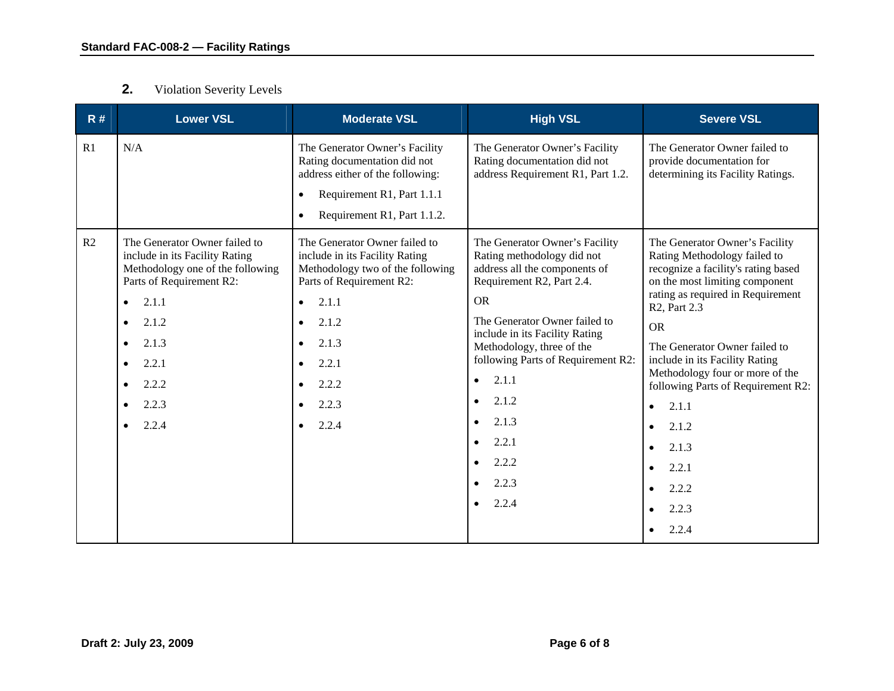#### **2.**Violation Severity Levels

| R# | <b>Lower VSL</b>                                                                                                                                                                               | <b>Moderate VSL</b>                                                                                                                                                                                                      | <b>High VSL</b>                                                                                                                                                                                                                                                                                                                                                                                                                         | <b>Severe VSL</b>                                                                                                                                                                                                                                                                                                                                                                                                                                           |
|----|------------------------------------------------------------------------------------------------------------------------------------------------------------------------------------------------|--------------------------------------------------------------------------------------------------------------------------------------------------------------------------------------------------------------------------|-----------------------------------------------------------------------------------------------------------------------------------------------------------------------------------------------------------------------------------------------------------------------------------------------------------------------------------------------------------------------------------------------------------------------------------------|-------------------------------------------------------------------------------------------------------------------------------------------------------------------------------------------------------------------------------------------------------------------------------------------------------------------------------------------------------------------------------------------------------------------------------------------------------------|
| R1 | N/A                                                                                                                                                                                            | The Generator Owner's Facility<br>Rating documentation did not<br>address either of the following:<br>Requirement R1, Part 1.1.1<br>Requirement R1, Part 1.1.2.                                                          | The Generator Owner's Facility<br>Rating documentation did not<br>address Requirement R1, Part 1.2.                                                                                                                                                                                                                                                                                                                                     | The Generator Owner failed to<br>provide documentation for<br>determining its Facility Ratings.                                                                                                                                                                                                                                                                                                                                                             |
| R2 | The Generator Owner failed to<br>include in its Facility Rating<br>Methodology one of the following<br>Parts of Requirement R2:<br>2.1.1<br>2.1.2<br>2.1.3<br>2.2.1<br>2.2.2<br>2.2.3<br>2.2.4 | The Generator Owner failed to<br>include in its Facility Rating<br>Methodology two of the following<br>Parts of Requirement R2:<br>2.1.1<br>$\bullet$<br>2.1.2<br>2.1.3<br>$\bullet$<br>2.2.1<br>2.2.2<br>2.2.3<br>2.2.4 | The Generator Owner's Facility<br>Rating methodology did not<br>address all the components of<br>Requirement R2, Part 2.4.<br><b>OR</b><br>The Generator Owner failed to<br>include in its Facility Rating<br>Methodology, three of the<br>following Parts of Requirement R2:<br>2.1.1<br>$\bullet$<br>2.1.2<br>$\bullet$<br>2.1.3<br>$\bullet$<br>2.2.1<br>$\bullet$<br>2.2.2<br>$\bullet$<br>2.2.3<br>$\bullet$<br>2.2.4<br>$\bullet$ | The Generator Owner's Facility<br>Rating Methodology failed to<br>recognize a facility's rating based<br>on the most limiting component<br>rating as required in Requirement<br>R <sub>2</sub> , Part 2.3<br><b>OR</b><br>The Generator Owner failed to<br>include in its Facility Rating<br>Methodology four or more of the<br>following Parts of Requirement R2:<br>2.1.1<br>$\bullet$<br>2.1.2<br>2.1.3<br>$\bullet$<br>2.2.1<br>2.2.2<br>2.2.3<br>2.2.4 |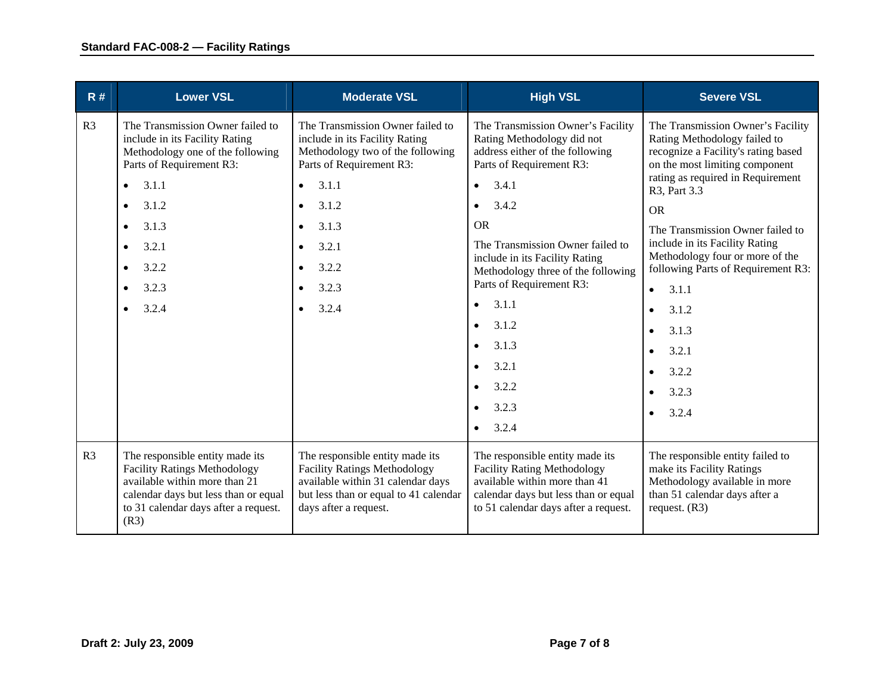| R#             | <b>Lower VSL</b>                                                                                                                                                                                               | <b>Moderate VSL</b>                                                                                                                                                                                                                                                             | <b>High VSL</b>                                                                                                                                                                                                                                                                                                                                                                                                                                                                           | <b>Severe VSL</b>                                                                                                                                                                                                                                                                                                                                                                                                                                                              |
|----------------|----------------------------------------------------------------------------------------------------------------------------------------------------------------------------------------------------------------|---------------------------------------------------------------------------------------------------------------------------------------------------------------------------------------------------------------------------------------------------------------------------------|-------------------------------------------------------------------------------------------------------------------------------------------------------------------------------------------------------------------------------------------------------------------------------------------------------------------------------------------------------------------------------------------------------------------------------------------------------------------------------------------|--------------------------------------------------------------------------------------------------------------------------------------------------------------------------------------------------------------------------------------------------------------------------------------------------------------------------------------------------------------------------------------------------------------------------------------------------------------------------------|
| R <sub>3</sub> | The Transmission Owner failed to<br>include in its Facility Rating<br>Methodology one of the following<br>Parts of Requirement R3:<br>3.1.1<br>3.1.2<br>$\bullet$<br>3.1.3<br>3.2.1<br>3.2.2<br>3.2.3<br>3.2.4 | The Transmission Owner failed to<br>include in its Facility Rating<br>Methodology two of the following<br>Parts of Requirement R3:<br>3.1.1<br>$\bullet$<br>3.1.2<br>$\bullet$<br>3.1.3<br>$\bullet$<br>3.2.1<br>$\bullet$<br>3.2.2<br>$\bullet$<br>3.2.3<br>$\bullet$<br>3.2.4 | The Transmission Owner's Facility<br>Rating Methodology did not<br>address either of the following<br>Parts of Requirement R3:<br>3.4.1<br>$\bullet$<br>3.4.2<br>$\bullet$<br><b>OR</b><br>The Transmission Owner failed to<br>include in its Facility Rating<br>Methodology three of the following<br>Parts of Requirement R3:<br>3.1.1<br>$\bullet$<br>3.1.2<br>$\bullet$<br>3.1.3<br>$\bullet$<br>3.2.1<br>$\bullet$<br>3.2.2<br>$\bullet$<br>3.2.3<br>$\bullet$<br>3.2.4<br>$\bullet$ | The Transmission Owner's Facility<br>Rating Methodology failed to<br>recognize a Facility's rating based<br>on the most limiting component<br>rating as required in Requirement<br>R3, Part 3.3<br><b>OR</b><br>The Transmission Owner failed to<br>include in its Facility Rating<br>Methodology four or more of the<br>following Parts of Requirement R3:<br>3.1.1<br>$\bullet$<br>3.1.2<br>$\bullet$<br>3.1.3<br>$\bullet$<br>3.2.1<br>3.2.2<br>$\bullet$<br>3.2.3<br>3.2.4 |
| R <sub>3</sub> | The responsible entity made its<br><b>Facility Ratings Methodology</b><br>available within more than 21<br>calendar days but less than or equal<br>to 31 calendar days after a request.<br>(R3)                | The responsible entity made its<br><b>Facility Ratings Methodology</b><br>available within 31 calendar days<br>but less than or equal to 41 calendar<br>days after a request.                                                                                                   | The responsible entity made its<br><b>Facility Rating Methodology</b><br>available within more than 41<br>calendar days but less than or equal<br>to 51 calendar days after a request.                                                                                                                                                                                                                                                                                                    | The responsible entity failed to<br>make its Facility Ratings<br>Methodology available in more<br>than 51 calendar days after a<br>request. $(R3)$                                                                                                                                                                                                                                                                                                                             |